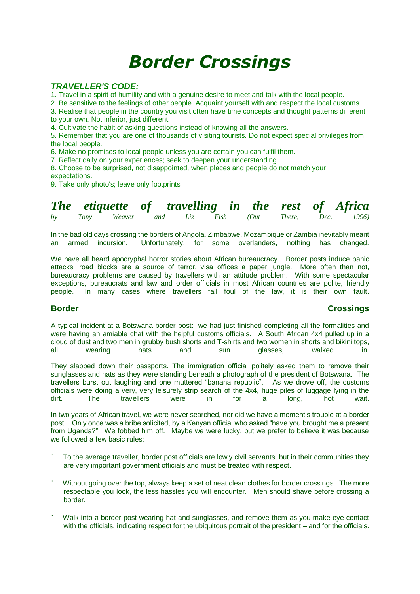# *Border Crossings*

### *TRAVELLER'S CODE:*

1. Travel in a spirit of humility and with a genuine desire to meet and talk with the local people.

2. Be sensitive to the feelings of other people. Acquaint yourself with and respect the local customs.

3. Realise that people in the country you visit often have time concepts and thought patterns different to your own. Not inferior, just different.

4. Cultivate the habit of asking questions instead of knowing all the answers.

5. Remember that you are one of thousands of visiting tourists. Do not expect special privileges from the local people.

6. Make no promises to local people unless you are certain you can fulfil them.

7. Reflect daily on your experiences; seek to deepen your understanding.

8. Choose to be surprised, not disappointed, when places and people do not match your

expectations.

9. Take only photo's; leave only footprints

|    |  |  |  |  | The etiquette of travelling in the rest of Africa |
|----|--|--|--|--|---------------------------------------------------|
| by |  |  |  |  | Tony Weaver and Liz Fish (Out There, Dec. 1996)   |

In the bad old days crossing the borders of Angola. Zimbabwe, Mozambique or Zambia inevitably meant an armed incursion. Unfortunately, for some overlanders, nothing has changed.

We have all heard apocryphal horror stories about African bureaucracy. Border posts induce panic attacks, road blocks are a source of terror, visa offices a paper jungle. More often than not, bureaucracy problems are caused by travellers with an attitude problem. With some spectacular exceptions, bureaucrats and law and order officials in most African countries are polite, friendly people. In many cases where travellers fall foul of the law, it is their own fault.

### **Border Crossings**

A typical incident at a Botswana border post: we had just finished completing all the formalities and were having an amiable chat with the helpful customs officials. A South African 4x4 pulled up in a cloud of dust and two men in grubby bush shorts and T-shirts and two women in shorts and bikini tops, all wearing hats and sun glasses, walked in.

They slapped down their passports. The immigration official politely asked them to remove their sunglasses and hats as they were standing beneath a photograph of the president of Botswana. The travellers burst out laughing and one muttered "banana republic". As we drove off, the customs officials were doing a very, very leisurely strip search of the 4x4, huge piles of luggage lying in the dirt<br>dirt The travellers were in for a long, hot wait. dirt. The travellers were in for a long, hot wait.

In two years of African travel, we were never searched, nor did we have a moment's trouble at a border post. Only once was a bribe solicited, by a Kenyan official who asked "have you brought me a present from Uganda?" We fobbed him off. Maybe we were lucky, but we prefer to believe it was because we followed a few basic rules:

- To the average traveller, border post officials are lowly civil servants, but in their communities they are very important government officials and must be treated with respect.
- Without going over the top, always keep a set of neat clean clothes for border crossings. The more respectable you look, the less hassles you will encounter. Men should shave before crossing a border.
- Walk into a border post wearing hat and sunglasses, and remove them as you make eye contact with the officials, indicating respect for the ubiquitous portrait of the president – and for the officials.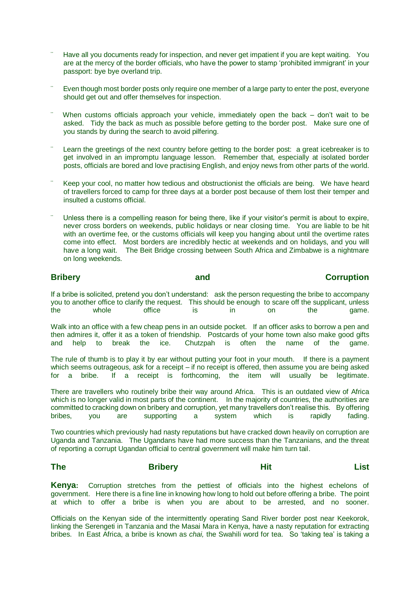- Have all you documents ready for inspection, and never get impatient if you are kept waiting. You are at the mercy of the border officials, who have the power to stamp 'prohibited immigrant' in your passport: bye bye overland trip.
- Even though most border posts only require one member of a large party to enter the post, everyone should get out and offer themselves for inspection.
- When customs officials approach your vehicle, immediately open the back  $-$  don't wait to be asked. Tidy the back as much as possible before getting to the border post. Make sure one of you stands by during the search to avoid pilfering.
- Learn the greetings of the next country before getting to the border post: a great icebreaker is to get involved in an impromptu language lesson. Remember that, especially at isolated border posts, officials are bored and love practising English, and enjoy news from other parts of the world.
- Keep your cool, no matter how tedious and obstructionist the officials are being. We have heard of travellers forced to camp for three days at a border post because of them lost their temper and insulted a customs official.
- Unless there is a compelling reason for being there, like if your visitor's permit is about to expire, never cross borders on weekends, public holidays or near closing time. You are liable to be hit with an overtime fee, or the customs officials will keep you hanging about until the overtime rates come into effect. Most borders are incredibly hectic at weekends and on holidays, and you will have a long wait. The Beit Bridge crossing between South Africa and Zimbabwe is a nightmare on long weekends.

## **Bribery and Corruption**

If a bribe is solicited, pretend you don't understand: ask the person requesting the bribe to accompany you to another office to clarify the request. This should be enough to scare off the supplicant, unless the whole office is in on the game.

Walk into an office with a few cheap pens in an outside pocket. If an officer asks to borrow a pen and then admires it, offer it as a token of friendship. Postcards of your home town also make good gifts<br>and help to break the ice. Chutzpah is often the name of the game. and help to break the ice. Chutzpah is often the name of the game.

The rule of thumb is to play it by ear without putting your foot in your mouth. If there is a payment which seems outrageous, ask for a receipt – if no receipt is offered, then assume you are being asked for a bribe. If a receipt is forthcoming, the item will usually be legitimate.

There are travellers who routinely bribe their way around Africa. This is an outdated view of Africa which is no longer valid in most parts of the continent. In the majority of countries, the authorities are committed to cracking down on bribery and corruption, yet many travellers don't realise this. By offering bribes, you are supporting a system which is rapidly fading.

Two countries which previously had nasty reputations but have cracked down heavily on corruption are Uganda and Tanzania. The Ugandans have had more success than the Tanzanians, and the threat of reporting a corrupt Ugandan official to central government will make him turn tail.

### **The Bribery Hit List**

**Kenya:** Corruption stretches from the pettiest of officials into the highest echelons of government. Here there is a fine line in knowing how long to hold out before offering a bribe. The point at which to offer a bribe is when you are about to be arrested, and no sooner.

Officials on the Kenyan side of the intermittently operating Sand River border post near Keekorok, linking the Serengeti in Tanzania and the Masai Mara in Kenya, have a nasty reputation for extracting bribes. In East Africa, a bribe is known as *chai,* the Swahili word for tea. So 'taking tea' is taking a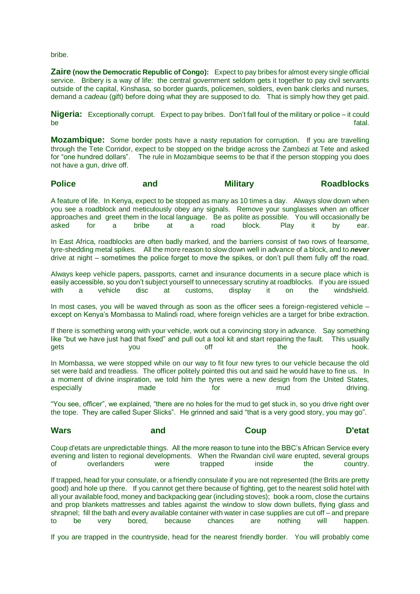bribe.

**Zaire (now the Democratic Republic of Congo):** Expect to pay bribes for almost every single official service. Bribery is a way of life: the central government seldom gets it together to pay civil servants outside of the capital, Kinshasa, so border guards, policemen, soldiers, even bank clerks and nurses, demand a *cadeau* (gift) before doing what they are supposed to do. That is simply how they get paid.

**Nigeria:** Exceptionally corrupt. Expect to pay bribes. Don't fall foul of the military or police – it could be fatal. The fact of the control of the control of the control of the control of the fatal.

**Mozambique:** Some border posts have a nasty reputation for corruption. If you are travelling through the Tete Corridor, expect to be stopped on the bridge across the Zambezi at Tete and asked for "one hundred dollars". The rule in Mozambique seems to be that if the person stopping you does not have a gun, drive off.

### **Police and and Military Roadblocks**

A feature of life. In Kenya, expect to be stopped as many as 10 times a day. Always slow down when you see a roadblock and meticulously obey any signals. Remove your sunglasses when an officer approaches and greet them in the local language. Be as polite as possible. You will occasionally be asked for a bribe at a road block. Play it by ear.

In East Africa, roadblocks are often badly marked, and the barriers consist of two rows of fearsome, tyre-shedding metal spikes. All the more reason to slow down well in advance of a block, and to *never*  drive at night – sometimes the police forget to move the spikes, or don't pull them fully off the road.

Always keep vehicle papers, passports, carnet and insurance documents in a secure place which is easily accessible, so you don't subject yourself to unnecessary scrutiny at roadblocks. If you are issued<br>with a vehicle disc at customs. display it on the windshield. with a vehicle disc at customs, display it on the windshield.

In most cases, you will be waved through as soon as the officer sees a foreign-registered vehicle – except on Kenya's Mombassa to Malindi road, where foreign vehicles are a target for bribe extraction.

If there is something wrong with your vehicle, work out a convincing story in advance. Say something like "but we have just had that fixed" and pull out a tool kit and start repairing the fault. This usually gets you off the hook.

In Mombassa, we were stopped while on our way to fit four new tyres to our vehicle because the old set were bald and treadless. The officer politely pointed this out and said he would have to fine us. In a moment of divine inspiration, we told him the tyres were a new design from the United States, especially **made** made for mud mud driving.

"You see, officer", we explained, "there are no holes for the mud to get stuck in, so you drive right over the tope. They are called Super Slicks". He grinned and said "that is a very good story, you may go".

### **Wars and Coup D'etat**

Coup d'etats are unpredictable things. All the more reason to tune into the BBC's African Service every evening and listen to regional developments. When the Rwandan civil ware erupted, several groups of overlanders were trapped inside the country.

If trapped, head for your consulate, or a friendly consulate if you are not represented (the Brits are pretty good) and hole up there. If you cannot get there because of fighting, get to the nearest solid hotel with all your available food, money and backpacking gear (including stoves); book a room, close the curtains and prop blankets mattresses and tables against the window to slow down bullets, flying glass and shrapnel; fill the bath and every available container with water in case supplies are cut off – and prepare to be very bored, because chances are nothing will happen.

If you are trapped in the countryside, head for the nearest friendly border. You will probably come